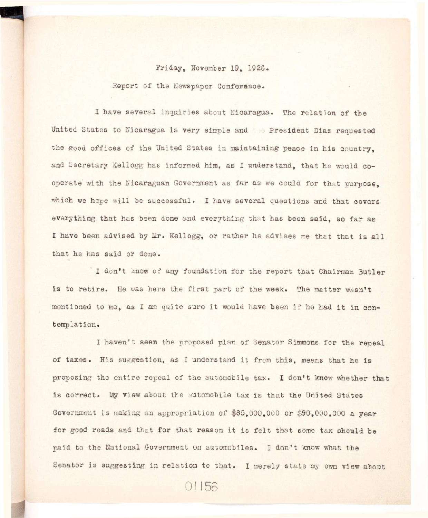## Friday, November 19. 1926.

Report of the Newspaper Conference.

I have several inquiries about Nicaragua. The relation of the United States to Nicaragua is very simple and **President Diaz requested** the good offices of the United States in maintaining peace in his country. **and Secretary Kellogg has informed him, as I understand, that he would co**operate with the Nicaraguan Government as far as we could for that purpose. which we hope will be successful. I have several questions and that covers everything that has been done and everything that has been said, so far as I have been advised by Mr. Kellogg, or rather he advises me that that is all that he has said or done.

**I don't know of any foundation for the report that Chairman Butler**  is to retire. He was here the first part of the week. The matter wasn't mentioned to me, as I am quite sure it would have been if he had it in con**templation.** 

I haven't seen the proposed plan of Senator Simmons for the repeal **of taxes. His suggestion, as I understand i t from this , means that he i s**  proposing the entire repeal of the automobile tax. I don't know whether that is correct. My view about the automobile tax is that the United States **Government i s making an appropriation of \$85,000,000 or \$90,000,000 a year**  for good roads and that for that reason it is felt that some tax should be **paid to the National Government on automobiles. I don't know what the**  Senator is suggesting in relation to that. I merely state my own view about

01156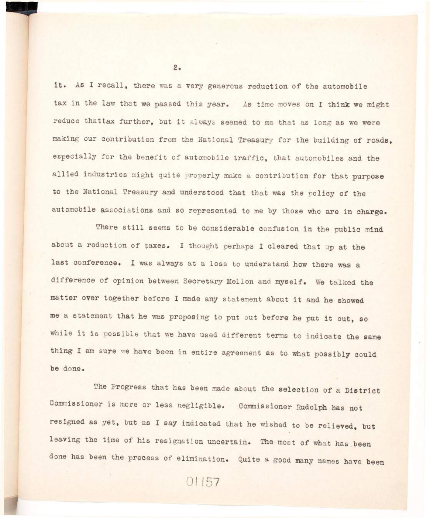it. As I recall, there was a very generous reduction of the automobile tax in the law that we passed this year. As time moves on I think we might reduce thattax further, but it always seemed to me that as long as we were making our contribution from the National Treasury for the building of roads, **especiall y for the benefit of automobile traffic , that automobiles and the allie d industrie s might quite properly make a contribution fo r that purpose**  to the National Treasury and understood that that was the policy of the automobile associations and so represented to me by those who are in charge.

There still seems to be considerable confusion in the public mind **about a reduction of taxes. I thought perhaps I cleared that up at the**  last conference. I was always at a loss to understand how there was a **difference of opinion between Secretary Mellon and myself. We talked the**  matter over together before I made any statement about it and he showed me a statement that he was proposing to put out before he put it out, so while it is possible that we have used different terms to indicate the same thing I am sure we have been in entire agreement as to what possibly could **be done.** 

The Progress that has been made about the selection of a District Commissioner is more or less negligible. Commissioner Rudolph has not resigned as yet, but as I say indicated that he wished to be relieved, but leaving the time of his resignation uncertain. The most of what has been **done has been the process of elimination. Quite a good many names have been** 

01157

 $2.$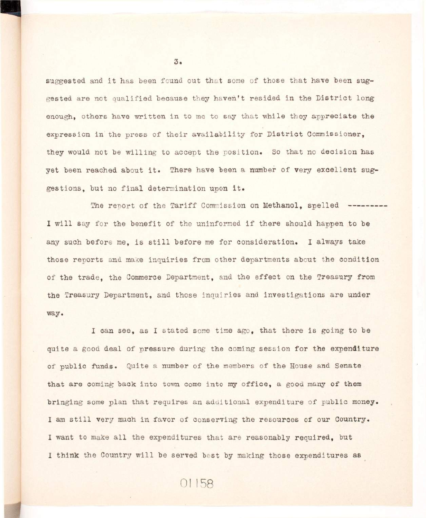suggested and it has been found out that some of those that have been sug**gested are not qualified because they haven't resided in the District long** enough, others have written in to me to say that while they appreciate the expression in the press of their availability for District Commissioner. they would not be willing to accept the position. So that no decision has yet been reached about it. There have been a number of very excellent suggestions, but no final determination upon it.

The report of the Tariff Commission on Methanol, spelled --------I will say for the benefit of the uninformed if there should happen to be any such before me, is still before me for consideration. I always take **those reports and make inquiries from other departments about the condition of the trade, the Commerce Department, and the effect on the Treasury from the Treasury Department, and those inquiries and investigations are under way.** 

**I can see, as I stated some time ago, that there is going to be quite a good deal of pressure during the coming session for the expenditure of public funds. Quite a number of the members of the House and Senate**  that are coming back into town come into my office, a good many of them **bringing some plan that requires an additional expenditure of public money.**  I am still very much in favor of conserving the resources of our Country. I want to make all the expenditures that are reasonably required, but I think the Country will be served best by making those expenditures as

01158

 $3.$